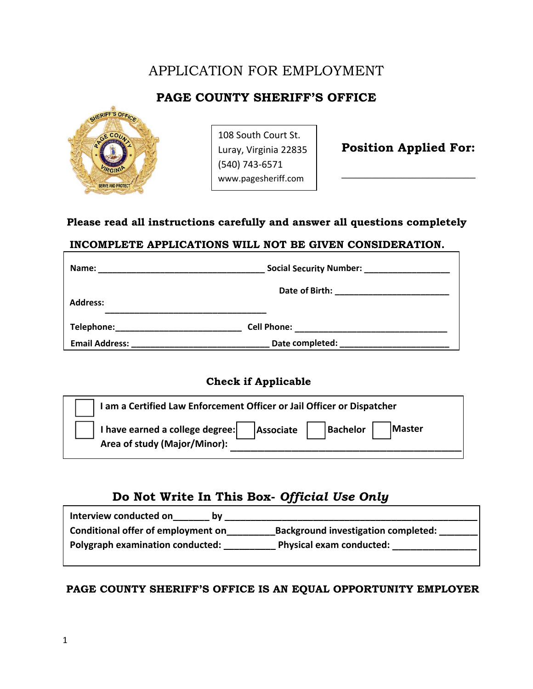# APPLICATION FOR EMPLOYMENT

# **PAGE COUNTY SHERIFF'S OFFICE**



108 South Court St. Luray, Virginia 22835 (540) 743‐6571 www.pagesheriff.com

 **Position Applied For:** 

 **\_\_\_\_\_\_\_\_\_\_\_\_\_\_\_\_\_\_\_\_\_\_** 

## **Please read all instructions carefully and answer all questions completely**

### **INCOMPLETE APPLICATIONS WILL NOT BE GIVEN CONSIDERATION.**

| Name:                 | Social Security Number: ____________________ |  |  |
|-----------------------|----------------------------------------------|--|--|
|                       |                                              |  |  |
| <b>Address:</b>       |                                              |  |  |
| Telephone:            | <b>Cell Phone:</b>                           |  |  |
| <b>Email Address:</b> | Date completed:                              |  |  |

## **Check if Applicable**

| I am a Certified Law Enforcement Officer or Jail Officer or Dispatcher |                                   |
|------------------------------------------------------------------------|-----------------------------------|
| I have earned a college degree:<br>Area of study (Major/Minor):        | Bachelor  <br>Master<br>Associate |

## **Do Not Write In This Box-** *Official Use Only*

| Interview conducted on             |                                            |  |  |
|------------------------------------|--------------------------------------------|--|--|
| Conditional offer of employment on | <b>Background investigation completed:</b> |  |  |
| Polygraph examination conducted:   | <b>Physical exam conducted:</b>            |  |  |
|                                    |                                            |  |  |

## **PAGE COUNTY SHERIFF'S OFFICE IS AN EQUAL OPPORTUNITY EMPLOYER**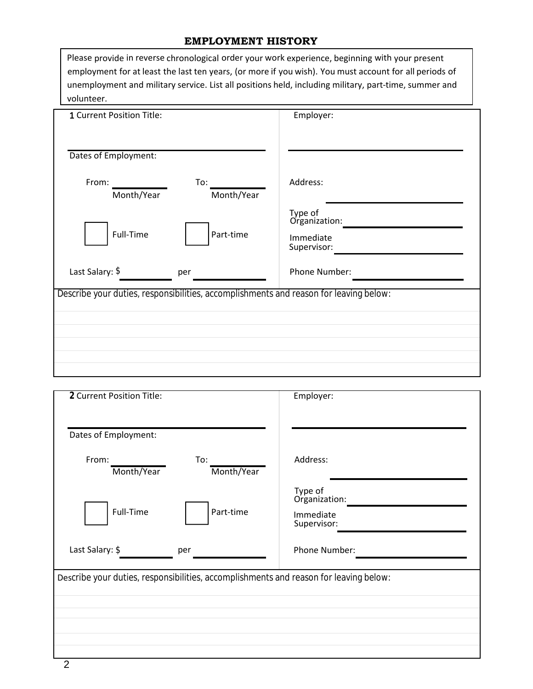### **EMPLOYMENT HISTORY**

| Please provide in reverse chronological order your work experience, beginning with your present        |
|--------------------------------------------------------------------------------------------------------|
| employment for at least the last ten years, (or more if you wish). You must account for all periods of |
| unemployment and military service. List all positions held, including military, part-time, summer and  |
| volunteer.                                                                                             |

| 1 Current Position Title:                                                             | Employer:                                            |
|---------------------------------------------------------------------------------------|------------------------------------------------------|
| Dates of Employment:                                                                  |                                                      |
| From:<br>To:<br>Month/Year<br>Month/Year                                              | Address:                                             |
| Full-Time<br>Part-time                                                                | Type of<br>Organization:<br>Immediate<br>Supervisor: |
| Last Salary: \$<br>per                                                                | Phone Number:                                        |
| Describe your duties, responsibilities, accomplishments and reason for leaving below: |                                                      |
|                                                                                       |                                                      |
|                                                                                       |                                                      |
|                                                                                       |                                                      |

| 2 Current Position Title:                                                             | Employer:                                                             |
|---------------------------------------------------------------------------------------|-----------------------------------------------------------------------|
| Dates of Employment:                                                                  |                                                                       |
| From:<br>To:<br>Month/Year<br>Month/Year                                              | Address:                                                              |
| Full-Time<br>Part-time<br>Last Salary: \$<br>per                                      | Type of<br>Organization:<br>Immediate<br>Supervisor:<br>Phone Number: |
| Describe your duties, responsibilities, accomplishments and reason for leaving below: |                                                                       |
|                                                                                       |                                                                       |
|                                                                                       |                                                                       |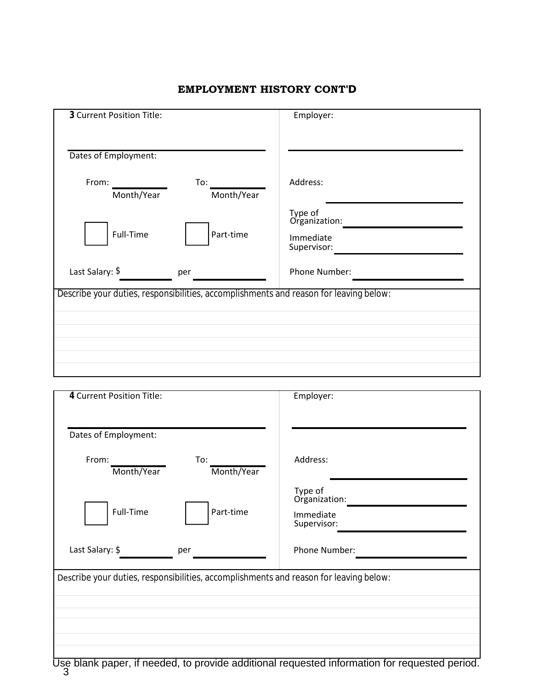| 3 Current Position Title:                                                             | Employer:                                            |
|---------------------------------------------------------------------------------------|------------------------------------------------------|
| Dates of Employment:                                                                  |                                                      |
| From:<br>To:<br>Month/Year<br>Month/Year                                              | Address:                                             |
| Full-Time<br>Part-time                                                                | Type of<br>Organization:<br>Immediate<br>Supervisor: |
| Last Salary: \$<br>per                                                                | Phone Number:                                        |
| Describe your duties, responsibilities, accomplishments and reason for leaving below: |                                                      |
|                                                                                       |                                                      |
|                                                                                       |                                                      |
|                                                                                       |                                                      |

### **EMPLOYMENT HISTORY CONT'D**

| 4 Current Position Title:                                                             | Employer:                                            |  |
|---------------------------------------------------------------------------------------|------------------------------------------------------|--|
| Dates of Employment:                                                                  |                                                      |  |
| From:<br>To:<br>Month/Year<br>Month/Year                                              | Address:                                             |  |
| Full-Time<br>Part-time                                                                | Type of<br>Organization:<br>Immediate<br>Supervisor: |  |
| Last Salary: \$<br>per                                                                | Phone Number:                                        |  |
| Describe your duties, responsibilities, accomplishments and reason for leaving below: |                                                      |  |
|                                                                                       |                                                      |  |
|                                                                                       |                                                      |  |
|                                                                                       |                                                      |  |

Use blank paper, if needed, to provide additional requested information for requested period. 3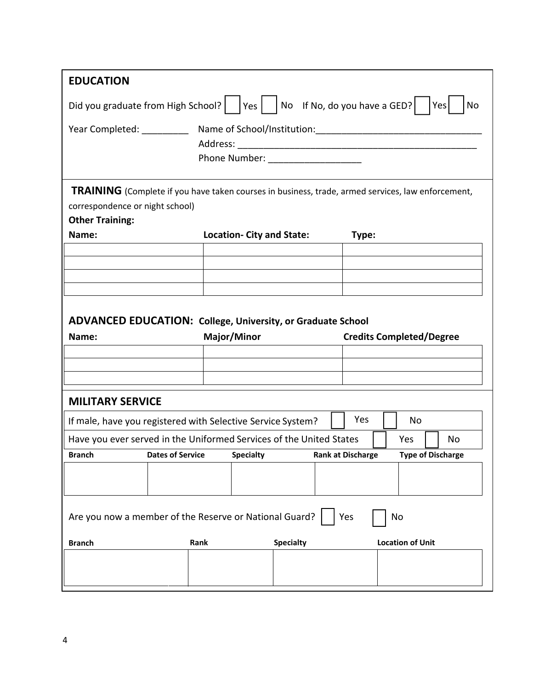| <b>EDUCATION</b>                                                                       |                         |                                                                                                          |                          |                                 |
|----------------------------------------------------------------------------------------|-------------------------|----------------------------------------------------------------------------------------------------------|--------------------------|---------------------------------|
| Did you graduate from High School?   $ Yes $ No If No, do you have a GED?<br>Yes<br>No |                         |                                                                                                          |                          |                                 |
|                                                                                        |                         |                                                                                                          |                          |                                 |
|                                                                                        |                         |                                                                                                          |                          |                                 |
|                                                                                        |                         | Phone Number: ___________________                                                                        |                          |                                 |
|                                                                                        |                         |                                                                                                          |                          |                                 |
|                                                                                        |                         | <b>TRAINING</b> (Complete if you have taken courses in business, trade, armed services, law enforcement, |                          |                                 |
| correspondence or night school)                                                        |                         |                                                                                                          |                          |                                 |
| <b>Other Training:</b>                                                                 |                         |                                                                                                          |                          |                                 |
| Name:                                                                                  |                         | <b>Location- City and State:</b>                                                                         | Type:                    |                                 |
|                                                                                        |                         |                                                                                                          |                          |                                 |
|                                                                                        |                         |                                                                                                          |                          |                                 |
|                                                                                        |                         |                                                                                                          |                          |                                 |
|                                                                                        |                         |                                                                                                          |                          |                                 |
|                                                                                        |                         | <b>ADVANCED EDUCATION: College, University, or Graduate School</b>                                       |                          |                                 |
| Name:                                                                                  |                         | Major/Minor                                                                                              |                          | <b>Credits Completed/Degree</b> |
|                                                                                        |                         |                                                                                                          |                          |                                 |
|                                                                                        |                         |                                                                                                          |                          |                                 |
|                                                                                        |                         |                                                                                                          |                          |                                 |
| <b>MILITARY SERVICE</b>                                                                |                         |                                                                                                          |                          |                                 |
|                                                                                        |                         | If male, have you registered with Selective Service System?                                              | Yes                      | No                              |
|                                                                                        |                         | Have you ever served in the Uniformed Services of the United States                                      |                          | Yes<br>No                       |
| Branch                                                                                 | <b>Dates of Service</b> | <b>Specialty Specialty</b>                                                                               | <b>Rank at Discharge</b> | <b>Type of Discharge</b>        |
|                                                                                        |                         |                                                                                                          |                          |                                 |
|                                                                                        |                         |                                                                                                          |                          |                                 |
|                                                                                        |                         |                                                                                                          |                          |                                 |
| Yes<br>Are you now a member of the Reserve or National Guard?<br>No                    |                         |                                                                                                          |                          |                                 |
| <b>Branch</b>                                                                          | Rank                    | <b>Specialty</b>                                                                                         |                          | <b>Location of Unit</b>         |
|                                                                                        |                         |                                                                                                          |                          |                                 |
|                                                                                        |                         |                                                                                                          |                          |                                 |
|                                                                                        |                         |                                                                                                          |                          |                                 |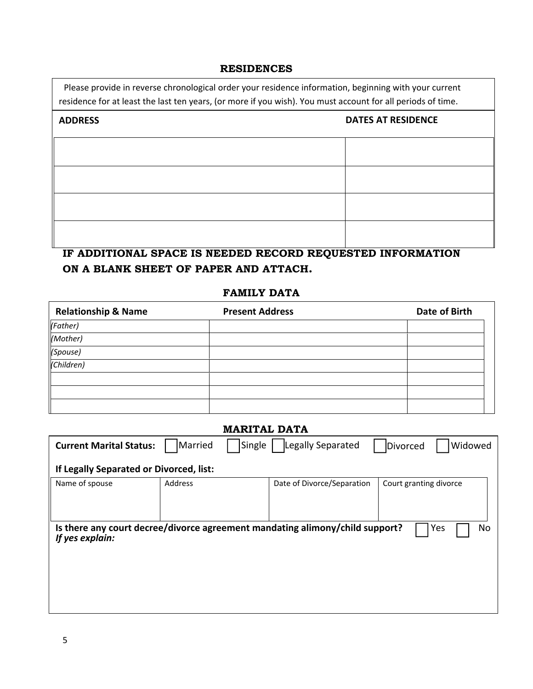#### **RESIDENCES**

Please provide in reverse chronological order your residence information, beginning with your current residence for at least the last ten years, (or more if you wish). You must account for all periods of time.

| <b>DATES AT RESIDENCE</b><br><b>ADDRESS</b> |  |
|---------------------------------------------|--|
|                                             |  |
|                                             |  |
|                                             |  |
|                                             |  |

## **IF ADDITIONAL SPACE IS NEEDED RECORD REQUESTED INFORMATION ON A BLANK SHEET OF PAPER AND ATTACH.**

### **FAMILY DATA**

| <b>Relationship &amp; Name</b> | <b>Present Address</b> | Date of Birth |
|--------------------------------|------------------------|---------------|
| (Father)                       |                        |               |
| (Mother)                       |                        |               |
| (Spouse)                       |                        |               |
| (Children)                     |                        |               |
|                                |                        |               |
|                                |                        |               |
|                                |                        |               |

| <b>MARITAL DATA</b>                                                                                          |                   |                            |                        |  |
|--------------------------------------------------------------------------------------------------------------|-------------------|----------------------------|------------------------|--|
| <b>Current Marital Status:</b>                                                                               | Married<br>Single | Legally Separated          | Widowed<br>Divorced    |  |
| If Legally Separated or Divorced, list:                                                                      |                   |                            |                        |  |
| Name of spouse                                                                                               | Address           | Date of Divorce/Separation | Court granting divorce |  |
| Is there any court decree/divorce agreement mandating alimony/child support?<br>Yes<br>No<br>If yes explain: |                   |                            |                        |  |
|                                                                                                              |                   |                            |                        |  |
|                                                                                                              |                   |                            |                        |  |

ī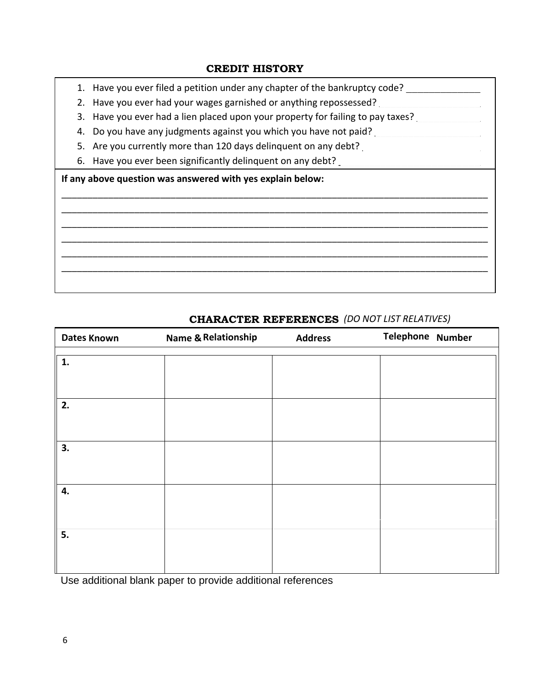### **CREDIT HISTORY**

- 1. Have you ever filed a petition under any chapter of the bankruptcy code?
- 2. Have you ever had your wages garnished or anything repossessed?
- 3. Have you ever had a lien placed upon your property for failing to pay taxes?
- 4. Do you have any judgments against you which you have not paid?
- 5. Are you currently more than 120 days delinquent on any debt?
- 6. Have you ever been significantly delinquent on any debt?

**If any above question was answered with yes explain below:**

# \_\_\_\_\_\_\_\_\_\_\_\_\_\_\_\_\_\_\_\_\_\_\_\_\_\_\_\_\_\_\_\_\_\_\_\_\_\_\_\_\_\_\_\_\_\_\_\_\_\_\_\_\_\_\_\_\_\_\_\_\_\_\_\_\_\_\_\_\_\_\_\_\_\_\_\_\_\_\_\_\_\_ \_\_\_\_\_\_\_\_\_\_\_\_\_\_\_\_\_\_\_\_\_\_\_\_\_\_\_\_\_\_\_\_\_\_\_\_\_\_\_\_\_\_\_\_\_\_\_\_\_\_\_\_\_\_\_\_\_\_\_\_\_\_\_\_\_\_\_\_\_\_\_\_\_\_\_\_\_\_\_\_\_\_ \_\_\_\_\_\_\_\_\_\_\_\_\_\_\_\_\_\_\_\_\_\_\_\_\_\_\_\_\_\_\_\_\_\_\_\_\_\_\_\_\_\_\_\_\_\_\_\_\_\_\_\_\_\_\_\_\_\_\_\_\_\_\_\_\_\_\_\_\_\_\_\_\_\_\_\_\_\_\_\_\_\_ \_\_\_\_\_\_\_\_\_\_\_\_\_\_\_\_\_\_\_\_\_\_\_\_\_\_\_\_\_\_\_\_\_\_\_\_\_\_\_\_\_\_\_\_\_\_\_\_\_\_\_\_\_\_\_\_\_\_\_\_\_\_\_\_\_\_\_\_\_\_\_\_\_\_\_\_\_\_\_\_\_\_ \_\_\_\_\_\_\_\_\_\_\_\_\_\_\_\_\_\_\_\_\_\_\_\_\_\_\_\_\_\_\_\_\_\_\_\_\_\_\_\_\_\_\_\_\_\_\_\_\_\_\_\_\_\_\_\_\_\_\_\_\_\_\_\_\_\_\_\_\_\_\_\_\_\_\_\_\_\_\_\_\_\_ \_\_\_\_\_\_\_\_\_\_\_\_\_\_\_\_\_\_\_\_\_\_\_\_\_\_\_\_\_\_\_\_\_\_\_\_\_\_\_\_\_\_\_\_\_\_\_\_\_\_\_\_\_\_\_\_\_\_\_\_\_\_\_\_\_\_\_\_\_\_\_\_\_\_\_\_\_\_\_\_\_\_

| <b>Dates Known</b> | <b>Name &amp; Relationship</b> | <b>Address</b> | Telephone Number |
|--------------------|--------------------------------|----------------|------------------|
| 1.                 |                                |                |                  |
|                    |                                |                |                  |
| 2.                 |                                |                |                  |
|                    |                                |                |                  |
| 3.                 |                                |                |                  |
|                    |                                |                |                  |
| 4.                 |                                |                |                  |
|                    |                                |                |                  |
| 5.                 |                                |                |                  |
|                    |                                |                |                  |

## **CHARACTER REFERENCES** *(DO NOT LIST RELATIVES)*

Use additional blank paper to provide additional references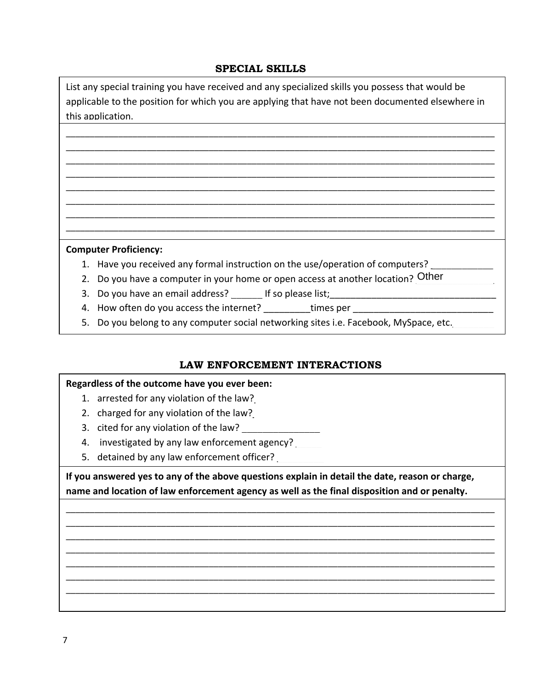### **SPECIAL SKILLS**

List any special training you have received and any specialized skills you possess that would be applicable to the position for which you are applying that have not been documented elsewhere in this application.

\_\_\_\_\_\_\_\_\_\_\_\_\_\_\_\_\_\_\_\_\_\_\_\_\_\_\_\_\_\_\_\_\_\_\_\_\_\_\_\_\_\_\_\_\_\_\_\_\_\_\_\_\_\_\_\_\_\_\_\_\_\_\_\_\_\_\_\_\_\_\_\_\_\_\_\_\_\_\_\_\_\_\_\_\_\_\_\_\_\_ \_\_\_\_\_\_\_\_\_\_\_\_\_\_\_\_\_\_\_\_\_\_\_\_\_\_\_\_\_\_\_\_\_\_\_\_\_\_\_\_\_\_\_\_\_\_\_\_\_\_\_\_\_\_\_\_\_\_\_\_\_\_\_\_\_\_\_\_\_\_\_\_\_\_\_\_\_\_\_\_\_\_\_\_\_\_\_\_\_\_ \_\_\_\_\_\_\_\_\_\_\_\_\_\_\_\_\_\_\_\_\_\_\_\_\_\_\_\_\_\_\_\_\_\_\_\_\_\_\_\_\_\_\_\_\_\_\_\_\_\_\_\_\_\_\_\_\_\_\_\_\_\_\_\_\_\_\_\_\_\_\_\_\_\_\_\_\_\_\_\_\_\_\_\_\_\_\_\_\_\_ \_\_\_\_\_\_\_\_\_\_\_\_\_\_\_\_\_\_\_\_\_\_\_\_\_\_\_\_\_\_\_\_\_\_\_\_\_\_\_\_\_\_\_\_\_\_\_\_\_\_\_\_\_\_\_\_\_\_\_\_\_\_\_\_\_\_\_\_\_\_\_\_\_\_\_\_\_\_\_\_\_\_\_\_\_\_\_\_\_\_ \_\_\_\_\_\_\_\_\_\_\_\_\_\_\_\_\_\_\_\_\_\_\_\_\_\_\_\_\_\_\_\_\_\_\_\_\_\_\_\_\_\_\_\_\_\_\_\_\_\_\_\_\_\_\_\_\_\_\_\_\_\_\_\_\_\_\_\_\_\_\_\_\_\_\_\_\_\_\_\_\_\_\_\_\_\_\_\_\_\_ \_\_\_\_\_\_\_\_\_\_\_\_\_\_\_\_\_\_\_\_\_\_\_\_\_\_\_\_\_\_\_\_\_\_\_\_\_\_\_\_\_\_\_\_\_\_\_\_\_\_\_\_\_\_\_\_\_\_\_\_\_\_\_\_\_\_\_\_\_\_\_\_\_\_\_\_\_\_\_\_\_\_\_\_\_\_\_\_\_\_ \_\_\_\_\_\_\_\_\_\_\_\_\_\_\_\_\_\_\_\_\_\_\_\_\_\_\_\_\_\_\_\_\_\_\_\_\_\_\_\_\_\_\_\_\_\_\_\_\_\_\_\_\_\_\_\_\_\_\_\_\_\_\_\_\_\_\_\_\_\_\_\_\_\_\_\_\_\_\_\_\_\_\_\_\_\_\_\_\_\_ \_\_\_\_\_\_\_\_\_\_\_\_\_\_\_\_\_\_\_\_\_\_\_\_\_\_\_\_\_\_\_\_\_\_\_\_\_\_\_\_\_\_\_\_\_\_\_\_\_\_\_\_\_\_\_\_\_\_\_\_\_\_\_\_\_\_\_\_\_\_\_\_\_\_\_\_\_\_\_\_\_\_\_\_\_\_\_\_\_\_

#### **Computer Proficiency:**

- 1. Have you received any formal instruction on the use/operation of computers?
- 2. Do you have a computer in your home or open access at another location?  $\overline{\text{Other}}$
- 3. Do you have an email address? If so please list;
- 4. How often do you access the internet? The stimes per
- 5. Do you belong to any computer social networking sites i.e. Facebook, MySpace, etc.

### **LAW ENFORCEMENT INTERACTIONS**

#### **Regardless of the outcome have you ever been:**

- 1. arrested for any violation of the law?
- 2. charged for any violation of the law?
- 3. cited for any violation of the law?
- 4. investigated by any law enforcement agency?
- 5. detained by any law enforcement officer?

**If you answered yes to any of the above questions explain in detail the date, reason or charge, name and location of law enforcement agency as well as the final disposition and or penalty.**

\_\_\_\_\_\_\_\_\_\_\_\_\_\_\_\_\_\_\_\_\_\_\_\_\_\_\_\_\_\_\_\_\_\_\_\_\_\_\_\_\_\_\_\_\_\_\_\_\_\_\_\_\_\_\_\_\_\_\_\_\_\_\_\_\_\_\_\_\_\_\_\_\_\_\_\_\_\_\_\_\_\_\_\_\_\_\_\_\_\_ \_\_\_\_\_\_\_\_\_\_\_\_\_\_\_\_\_\_\_\_\_\_\_\_\_\_\_\_\_\_\_\_\_\_\_\_\_\_\_\_\_\_\_\_\_\_\_\_\_\_\_\_\_\_\_\_\_\_\_\_\_\_\_\_\_\_\_\_\_\_\_\_\_\_\_\_\_\_\_\_\_\_\_\_\_\_\_\_\_\_ \_\_\_\_\_\_\_\_\_\_\_\_\_\_\_\_\_\_\_\_\_\_\_\_\_\_\_\_\_\_\_\_\_\_\_\_\_\_\_\_\_\_\_\_\_\_\_\_\_\_\_\_\_\_\_\_\_\_\_\_\_\_\_\_\_\_\_\_\_\_\_\_\_\_\_\_\_\_\_\_\_\_\_\_\_\_\_\_\_\_ \_\_\_\_\_\_\_\_\_\_\_\_\_\_\_\_\_\_\_\_\_\_\_\_\_\_\_\_\_\_\_\_\_\_\_\_\_\_\_\_\_\_\_\_\_\_\_\_\_\_\_\_\_\_\_\_\_\_\_\_\_\_\_\_\_\_\_\_\_\_\_\_\_\_\_\_\_\_\_\_\_\_\_\_\_\_\_\_\_\_ \_\_\_\_\_\_\_\_\_\_\_\_\_\_\_\_\_\_\_\_\_\_\_\_\_\_\_\_\_\_\_\_\_\_\_\_\_\_\_\_\_\_\_\_\_\_\_\_\_\_\_\_\_\_\_\_\_\_\_\_\_\_\_\_\_\_\_\_\_\_\_\_\_\_\_\_\_\_\_\_\_\_\_\_\_\_\_\_\_\_ \_\_\_\_\_\_\_\_\_\_\_\_\_\_\_\_\_\_\_\_\_\_\_\_\_\_\_\_\_\_\_\_\_\_\_\_\_\_\_\_\_\_\_\_\_\_\_\_\_\_\_\_\_\_\_\_\_\_\_\_\_\_\_\_\_\_\_\_\_\_\_\_\_\_\_\_\_\_\_\_\_\_\_\_\_\_\_\_\_\_ \_\_\_\_\_\_\_\_\_\_\_\_\_\_\_\_\_\_\_\_\_\_\_\_\_\_\_\_\_\_\_\_\_\_\_\_\_\_\_\_\_\_\_\_\_\_\_\_\_\_\_\_\_\_\_\_\_\_\_\_\_\_\_\_\_\_\_\_\_\_\_\_\_\_\_\_\_\_\_\_\_\_\_\_\_\_\_\_\_\_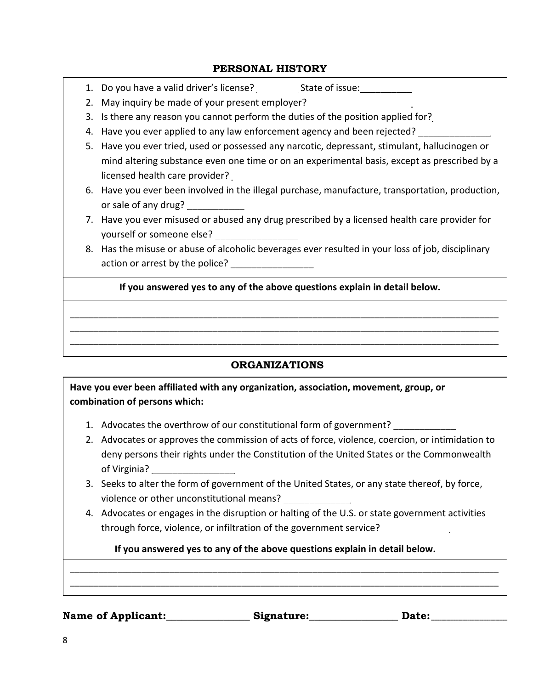### **PERSONAL HISTORY**

1. Do you have a valid driver's license? State of issue:

- 2. May inquiry be made of your present employer?
- 3. Is there any reason you cannot perform the duties of the position applied for?
- 4. Have you ever applied to any law enforcement agency and been rejected?
- 5. Have you ever tried, used or possessed any narcotic, depressant, stimulant, hallucinogen or mind altering substance even one time or on an experimental basis, except as prescribed by a licensed health care provider?
- 6. Have you ever been involved in the illegal purchase, manufacture, transportation, production, or sale of any drug?
- 7. Have you ever misused or abused any drug prescribed by a licensed health care provider for yourself or someone else?
- 8. Has the misuse or abuse of alcoholic beverages ever resulted in your loss of job, disciplinary action or arrest by the police?

## **If you answered yes to any of the above questions explain in detail below.**

\_\_\_\_\_\_\_\_\_\_\_\_\_\_\_\_\_\_\_\_\_\_\_\_\_\_\_\_\_\_\_\_\_\_\_\_\_\_\_\_\_\_\_\_\_\_\_\_\_\_\_\_\_\_\_\_\_\_\_\_\_\_\_\_\_\_\_\_\_\_\_\_\_\_\_\_\_\_\_\_\_\_\_\_\_\_\_\_\_\_ \_\_\_\_\_\_\_\_\_\_\_\_\_\_\_\_\_\_\_\_\_\_\_\_\_\_\_\_\_\_\_\_\_\_\_\_\_\_\_\_\_\_\_\_\_\_\_\_\_\_\_\_\_\_\_\_\_\_\_\_\_\_\_\_\_\_\_\_\_\_\_\_\_\_\_\_\_\_\_\_\_\_\_\_\_\_\_\_\_\_ \_\_\_\_\_\_\_\_\_\_\_\_\_\_\_\_\_\_\_\_\_\_\_\_\_\_\_\_\_\_\_\_\_\_\_\_\_\_\_\_\_\_\_\_\_\_\_\_\_\_\_\_\_\_\_\_\_\_\_\_\_\_\_\_\_\_\_\_\_\_\_\_\_\_\_\_\_\_\_\_\_\_\_\_\_\_\_\_\_\_

## **ORGANIZATIONS**

**Have you ever been affiliated with any organization, association, movement, group, or combination of persons which:**

- 1. Advocates the overthrow of our constitutional form of government? \_\_\_\_\_\_\_\_\_\_\_
- 2. Advocates or approves the commission of acts of force, violence, coercion, or intimidation to deny persons their rights under the Constitution of the United States or the Commonwealth of Virginia?
- 3. Seeks to alter the form of government of the United States, or any state thereof, by force, violence or other unconstitutional means?
- 4. Advocates or engages in the disruption or halting of the U.S. or state government activities through force, violence, or infiltration of the government service?

\_\_\_\_\_\_\_\_\_\_\_\_\_\_\_\_\_\_\_\_\_\_\_\_\_\_\_\_\_\_\_\_\_\_\_\_\_\_\_\_\_\_\_\_\_\_\_\_\_\_\_\_\_\_\_\_\_\_\_\_\_\_\_\_\_\_\_\_\_\_\_\_\_\_\_\_\_\_\_\_\_\_\_\_\_\_\_\_\_\_ \_\_\_\_\_\_\_\_\_\_\_\_\_\_\_\_\_\_\_\_\_\_\_\_\_\_\_\_\_\_\_\_\_\_\_\_\_\_\_\_\_\_\_\_\_\_\_\_\_\_\_\_\_\_\_\_\_\_\_\_\_\_\_\_\_\_\_\_\_\_\_\_\_\_\_\_\_\_\_\_\_\_\_\_\_\_\_\_\_\_

## **If you answered yes to any of the above questions explain in detail below.**

**Name of Applicant:\_\_\_\_\_\_\_\_\_\_\_\_\_\_\_\_ Signature:\_\_\_\_\_\_\_\_\_\_\_\_\_\_\_\_\_ Date:**  \_\_\_\_\_\_\_\_\_\_\_\_\_\_\_\_\_\_\_\_\_\_\_\_\_\_\_\_\_\_\_\_\_\_\_\_\_\_\_\_\_\_\_\_\_\_\_\_\_\_\_\_\_\_\_\_\_\_\_\_\_\_\_\_\_\_\_\_\_\_\_\_\_\_\_\_\_\_\_\_\_\_\_\_\_\_\_\_\_\_